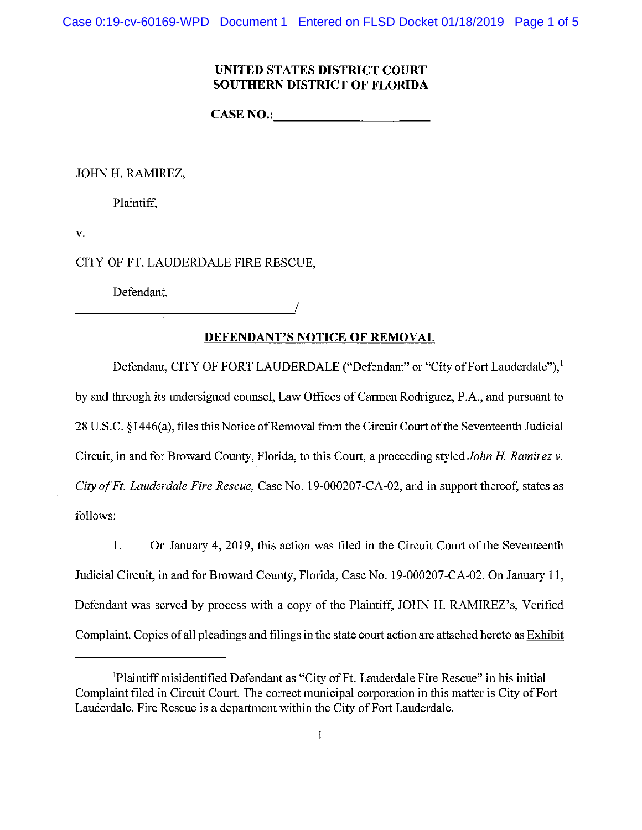Case 0:19-cv-60169-WPD Document 1 Entered on FLSD Docket 01/18/2019 Page 1 of 5

# **UNITED STATES DISTRICT COURT SOUTHERN DISTRICT OF FLORIDA**

**CASE NO.:** 

JOHN H. RAMIREZ,

Plaintiff,

v.

CITY OF FT. LAUDERDALE FIRE RESCUE,

Defendant.

# **DEFENDANT'S NOTICE OF REMOVAL**

**/** 

Defendant, CITY OF FORT LAUDERDALE ("Defendant" or "City of Fort Lauderdale"),<sup>1</sup> by and through its undersigned counsel, Law Offices of Carmen Rodriguez, P.A., and pursuant to 28 U.S.C. § 1446(a), files this Notice of Removal from the Circuit Court of the Seventeenth Judicial Circuit, in and for Broward County, Florida, to this Court, a proceeding styled *John H. Ramirez v. City of Ft. Lauderdale Fire Rescue,* Case No. 19-000207-CA-02, and in support thereof, states as follows:

1. On January 4, 2019, this action was filed in the Circuit Court of the Seventeenth Judicial Circuit, in and for Broward County, Florida, Case No. 19-000207-CA-02. On January 11, Defendant was served by process with a copy of the Plaintiff, JOHN H. RAMIREZ'S, Verified Complaint. Copies of all pleadings and filings in the state court action are attached hereto as Exhibit

Plaintiff misidentified Defendant as "City of Ft. Lauderdale Fire Rescue" in his initial Complaint filed in Circuit Court. The correct municipal corporation in this matter is City of Fort Lauderdale. Fire Rescue is a department within the City of Fort Lauderdale.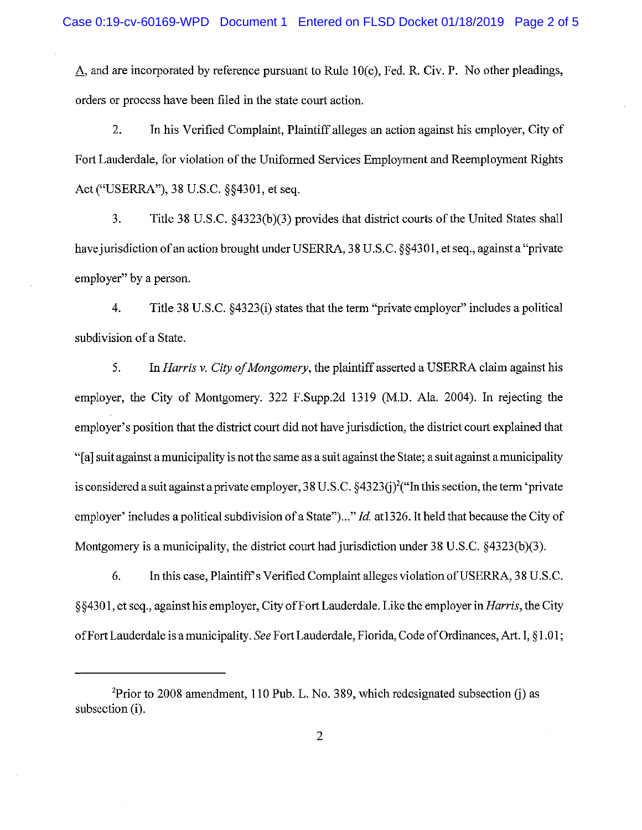A, and are incorporated by reference pursuant to Rule 10(c), Fed. R. Civ. P. No other pleadings, orders or process have been filed in the state court action.

2. In his Verified Complaint, Plaintiff alleges an action against his employer, City of Fort Lauderdale, for violation of the Uniformed Services Employment and Reemployment Rights Act ("USERRA"), 38 U.S.C. §§4301, et seq.

3. Title 38 U.S.C. §4323(b)(3) provides that district courts of the United States shall have jurisdiction of an action brought under USERRA, 38 U.S.C. §§4301, et seq., against a "private employer" by a person.

4. Title 38 U.S.C. §4323(i) states that the term "private employer" includes a political subdivision of a State.

5. In *Harris v. City of Mongomery*, the plaintiff asserted a USERRA claim against his employer, the City of Montgomery. 322 F.Supp.2d 1319 (M.D. Ala. 2004). In rejecting the employer's position that the district court did not have jurisdiction, the district court explained that "[a] suit against a municipality is not the same as a suit against the State; a suit against a municipality is considered a suit against a private employer, 38 U.S.C.  $\S 4323(j)^2$  ("In this section, the term 'private employer' includes apolitical subdivision of a State")..." *Id.* atl326. It held that because the City of Montgomery is a municipality, the district court had jurisdiction under 38 U.S.C. §4323(b)(3).

6. In this case, Plaintiffs Verified Complaint alleges violation of USERRA, 38 U.S.C. § §4301, et seq., against his employer, City of Fort Lauderdale. Like the employer in *Harris*, the City of Fort Lauderdale is a municipality. *See* Fort Lauderdale, Florida, Code of Ordinances, Art. I, § 1.01;

<sup>&</sup>lt;sup>2</sup>Prior to 2008 amendment, 110 Pub. L. No. 389, which redesignated subsection (j) as subsection (i).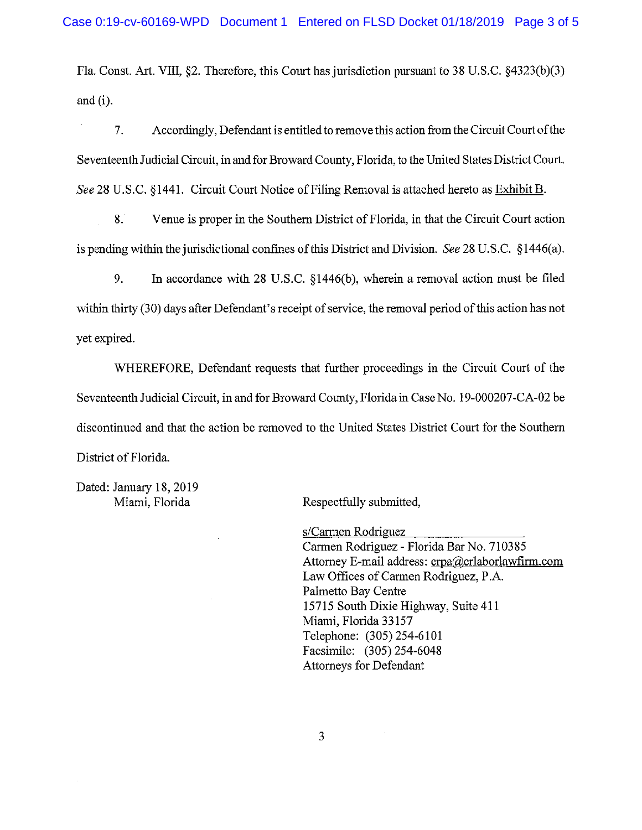Fla. Const. Art. VIII, §2. Therefore, this Court has jurisdiction pursuant to 38 U.S.C. §4323(b)(3) and (i).

7. Accordingly, Defendant is entitled to remove this action from the Circuit Court of the Seventeenth Judicial Circuit, in and for Broward County, Florida, to the United States District Court. *See* 28 U.S.C. §1441. Circuit Court Notice of Filing Removal is attached hereto as Exhibit B.

8. Venue is proper in the Southern District of Florida, in that the Circuit Court action is pending within the jurisdictional confines of this District and Division. *See* 28 U.S.C. § 1446(a).

9. In accordance with 28 U.S.C. § 1446(b), wherein a removal action must be filed within thirty (30) days after Defendant's receipt of service, the removal period of this action has not yet expired.

WHEREFORE, Defendant requests that further proceedings in the Circuit Court of the Seventeenth Judicial Circuit, in and for Broward County, Florida in Case No. 19-000207-CA-02 be discontinued and that the action be removed to the United States District Court for the Southern District of Florida.

Dated: January 18, 2019

Miami, Florida Respectfully submitted,

s/Carmen Rodriguez

Carmen Rodriguez - Florida Bar No. 710385 Attorney E-mail address: [crpa@crlaborlawfirm.com](mailto:crpa@crlaborlawfirm.com)  Law Offices of Carmen Rodriguez, P.A. Palmetto Bay Centre 15715 South Dixie Highway, Suite 411 Miami, Florida 33157 Telephone: (305)254-6101 Facsimile: (305) 254-6048 Attorneys for Defendant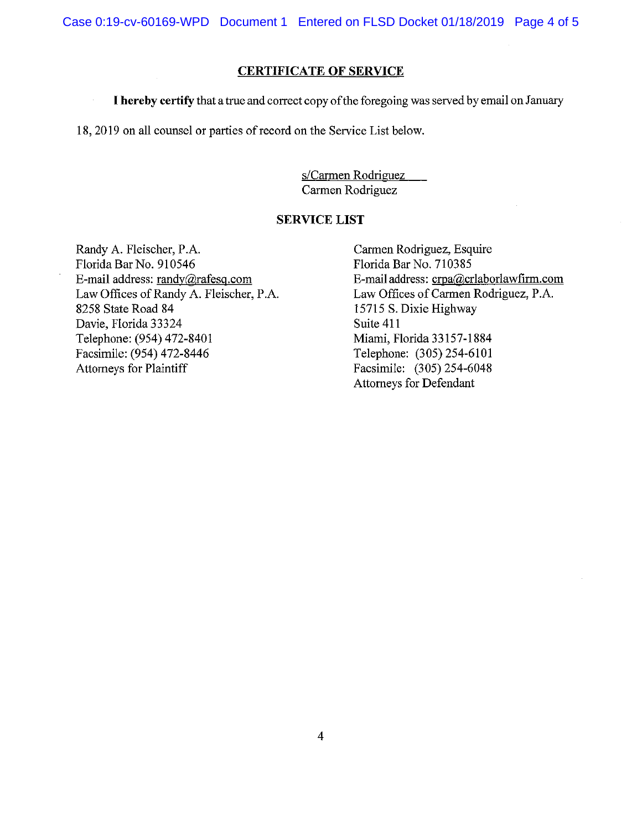Case 0:19-cv-60169-WPD Document 1 Entered on FLSD Docket 01/18/2019 Page 4 of 5

# **CERTIFICATE OF SERVICE**

**I hereby certify** that a true and correct copy of the foregoing was served by email on January

18, 2019 on all counsel or parties of record on the Service List below.

s/Carmen Rodriguez Carmen Rodriguez

## **SERVICE LIST**

Randy A. Fleischer, P.A. Florida Bar No. 910546 E-mail address: randv@rafesq .com Law Offices of Randy A. Fleischer, P.A. 8258 State Road 84 Davie, Florida 33324 Telephone: (954) 472-8401 Facsimile: (954) 472-8446 Attorneys for Plaintiff

Carmen Rodriguez, Esquire Florida Bar No. 710385 E-mail address: [crpa@crlaborlawfirm.com](mailto:crpa@crlaborlawfirm.com)  Law Offices of Carmen Rodriguez, P.A. 15715 S. Dixie Highway Suite 411 Miami, Florida 33157-1884 Telephone: (305)254-6101 Facsimile: (305) 254-6048 Attorneys for Defendant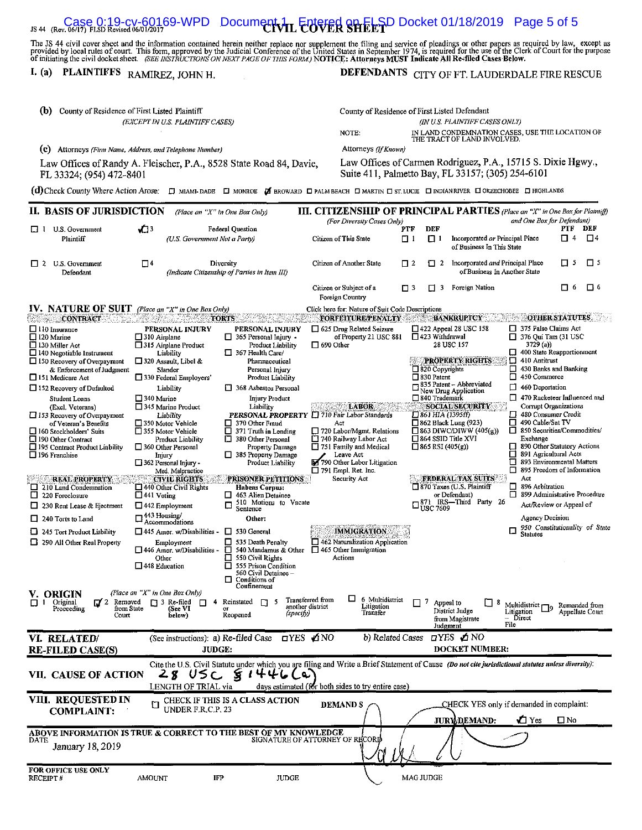# $\frac{1}{15.44}$  (Rev. 06/17) FLSD Revised 06/01/2017 CO-WPD Document 1 Entered Sheet Sheet 01/18/2019 Page 5 of 5

The JS 44 civil cover sheet and the information contained herein neither replace nor supplement the filing and service of pleadings or other papers as required by law, except as<br>provided by local rules of court. This form,

# **I. (a) PLAINTIFFS** RAMIREZ, JOHN H. **DEFENDANTS** CITY OF FT. LAUDERDALE FIRE RESCUE

| (b)<br>County of Residence of First Listed Plaintiff                                                                                                       |                                                                                                 | County of Residence of First Listed Defendant              |                                                                                                                                                     |                                            |                                                                                 |                                                                     |
|------------------------------------------------------------------------------------------------------------------------------------------------------------|-------------------------------------------------------------------------------------------------|------------------------------------------------------------|-----------------------------------------------------------------------------------------------------------------------------------------------------|--------------------------------------------|---------------------------------------------------------------------------------|---------------------------------------------------------------------|
| (EXCEPT IN U.S. PLAINTIFF CASES)                                                                                                                           |                                                                                                 |                                                            | (IN U.S. PLAINTIFF CASES ONLY)<br>NOTE:<br>IN LAND CONDEMNATION CASES, USE THE LOCATION OF                                                          |                                            |                                                                                 |                                                                     |
|                                                                                                                                                            |                                                                                                 |                                                            | Attorneys (If Known)                                                                                                                                |                                            | THE TRACT OF LAND INVOLVED.                                                     |                                                                     |
| $\left( \mathbf{c} \right)$<br>Attorneys (Firm Name, Address, and Telephone Number)<br>Law Offices of Randy A. Fleischer, P.A., 8528 State Road 84, Davie, |                                                                                                 |                                                            |                                                                                                                                                     |                                            | Law Offices of Carmen Rodriguez, P.A., 15715 S. Dixie Hgwy.,                    |                                                                     |
| FL 33324; (954) 472-8401                                                                                                                                   |                                                                                                 |                                                            | Suite 411, Palmetto Bay, FL 33157; (305) 254-6101                                                                                                   |                                            |                                                                                 |                                                                     |
| (d) Check County Where Action Arose: [ MIAMI-DADE   MONROE   BROWARD   PALM BEACH   MARTIN   ST. LUCIE   INDIAN RIVER   OKEECHOBEE   HIGHLANDS             |                                                                                                 |                                                            |                                                                                                                                                     |                                            |                                                                                 |                                                                     |
| II. BASIS OF JURISDICTION                                                                                                                                  |                                                                                                 | (Place an "X" in One Box Only)                             | <b>III. CITIZENSHIP OF PRINCIPAL PARTIES</b> (Place an "X" in One Box for Plaintiff)<br>(For Diversity Cases Only)                                  |                                            |                                                                                 | and One Box for Defendant)                                          |
| U.S. Government<br>$\Box$ 1                                                                                                                                | vОз<br><b>Federal Question</b>                                                                  |                                                            |                                                                                                                                                     | <b>DEF</b><br>PTF                          |                                                                                 | PTF<br>DEF                                                          |
| Plaintiff                                                                                                                                                  | (U.S. Government Not a Party)                                                                   |                                                            | Citizen of This State                                                                                                                               | $\Box$ 1<br>נ ם                            | Incorporated or Principal Place<br>of Business In This State                    | $\square$<br>П.<br>4                                                |
| U.S. Government<br>$\Box$ 2<br>Defendant                                                                                                                   | $\square$                                                                                       | Diversity<br>(Indicate Citizenship of Parties in Item III) | Citizen of Another State                                                                                                                            | □ 2<br>$\Box$ 2                            | Incorporated and Principal Place<br>of Business In Another State                | $\Box$ 5<br>$\Box$ 5                                                |
|                                                                                                                                                            |                                                                                                 |                                                            | Citizen or Subject of a<br>Foreign Country                                                                                                          | □ 3<br>п<br>3                              | Foreign Nation                                                                  | 口6<br>П<br>-6                                                       |
| <b>IV. NATURE OF SUIT</b> (Place an "X" in One Box Only)                                                                                                   |                                                                                                 |                                                            | Click here for: Nature of Suit Code Descriptions                                                                                                    |                                            |                                                                                 |                                                                     |
| itek 42<br><b>CONTRACT</b>                                                                                                                                 |                                                                                                 | <b>TORTS</b>                                               | FORFEITURE/PENALTY                                                                                                                                  |                                            | <b>BANKRUPTCY</b><br>$\Box$ 422 Appeal 28 USC 158                               | <b>OTHER STATUTES</b><br>375 False Claims Act                       |
| $\Box$ 110 Insurance<br>$\Box$ 120 Marine                                                                                                                  | PERSONAL INJURY<br>$\Box$ 310 Airplane                                                          | PERSONAL INJURY<br>□<br>365 Personal Injury -              | $\Box$ 625 Drug Related Seizure<br>of Property 21 USC 881                                                                                           | □ 423 Withdrawal                           |                                                                                 | $\Box$ 376 Qui Tam (31 USC                                          |
| $\Box$ 130 Miller Act<br>$\Box$ 140 Negotiable Instrument                                                                                                  | □ 315 Airplane Product<br>Liability                                                             | Product Liability<br>$\Box$ 367 Health Care/               | $\Box$ 690 Other                                                                                                                                    |                                            | 28 USC 157                                                                      | 3729(a)<br>400 State Reapportionment                                |
| $\Box$ 150 Recovery of Overnayment                                                                                                                         | $\Box$ 320 Assault, Libel &                                                                     | Pharmaceutical                                             |                                                                                                                                                     |                                            | <b>PROPERTY RIGHTS</b>                                                          | $\Box$ 410 Antitrust                                                |
| & Enforcement of Judgment<br>□151 Medicare Act                                                                                                             | Slander<br>□ 330 Federal Employers'                                                             | Personal Injury<br>Product Liability                       |                                                                                                                                                     | $\Box$ 820 Copyrights<br>$\Box$ 830 Patent | П<br>□                                                                          | 430 Banks and Banking<br>450 Commerce                               |
| □ 152 Recovery of Defaulted                                                                                                                                | Liability                                                                                       | 368 Asbestos Personal                                      |                                                                                                                                                     |                                            | $\Box$ 835 Patent – Abbreviated<br>◻<br>New Drug Application                    | 460 Deportation                                                     |
| Student Loans<br>(Excl. Veterans)                                                                                                                          | $\square$ 340 Marine<br>345 Marine Product                                                      | Injury Product<br>Liability                                | <b>LABOR</b>                                                                                                                                        | □ 840 Trademark                            | <b>SOCIAL SECURITY</b>                                                          | $\Box$ 470 Racketeer Influenced and<br><b>Corrupt Organizations</b> |
| $\Box$ 153 Recovery of Overpayment                                                                                                                         | Liability                                                                                       | PERSONAL PROPERTY                                          | 710 Fair Labor Standards                                                                                                                            | □ 861 HIA (1395ff)                         |                                                                                 | □ 480 Consumer Credit                                               |
| of Veteran's Benefits<br>160 Stockholders' Suits                                                                                                           | 350 Motor Vehicle<br>355 Motor Vehicle                                                          | $\Box$ 370 Other Fraud<br>□<br>371 Truth in Lending        | Act<br>720 Labor/Mgmt. Relations                                                                                                                    |                                            | $\Box$ 862 Black Lung (923)<br>$\Box$ 863 DIWC/DIWW (405(g))                    | □ 490 Cable/Sat TV<br>850 Securities/Commodities/                   |
| 190 Other Contract                                                                                                                                         | Product Liability                                                                               | ⊡<br>380 Other Personal                                    | 740 Railway Labor Act<br>751 Family and Medical                                                                                                     |                                            | $\Box$ 864 SSID Title XVI                                                       | Exchange<br>890 Other Statutory Actions                             |
| 195 Contract Product Liability<br>$\square$ 196 Franchise                                                                                                  | $\Box$ 360 Other Personal<br>Injury                                                             | Property Damage<br>385 Property Damage                     | Leave Act                                                                                                                                           | □ 865 RSI (405(g))                         | О                                                                               | 891 Agricultural Acts                                               |
|                                                                                                                                                            | $\Box$ 362 Personal Injury<br>Med. Malpractice                                                  | Product Liability                                          | 790 Other Labor Litigation<br>$\Box$ 791 Empl. Ret. Inc.                                                                                            |                                            | □                                                                               | 893 Environmental Matters<br>□ 895 Freedom of Information           |
| <b>REAL PROPERTY</b>                                                                                                                                       | <b>CIVIL RIGHTS</b>                                                                             | <b>PRISONER PETITIONS:</b>                                 | Security Act                                                                                                                                        |                                            | <b>FEDERAL TAX SUITS</b>                                                        | Act<br>896 Arbitration                                              |
| □<br>210 Land Condemnation<br>$\Box$ 220 Foreclosure                                                                                                       | $\Box$ 440 Other Civil Rights<br>$\Box$ 441 Voting                                              | <b>Habeas Corpus:</b><br>463 Alien Detainee<br>ப           |                                                                                                                                                     |                                            | 870 Taxes (U.S. Plaintiff<br>□<br>◻<br>or Defendant)                            | 899 Administrative Procedure                                        |
| □<br>230 Rent Lease & Ejectment                                                                                                                            | $\Box$ 442 Employment                                                                           | 510 Motions to Vacate<br>О<br>Sentence                     |                                                                                                                                                     |                                            | $\square_{\text{USC}}^{\text{871}}$ IRS-Third Party 26                          | Act/Review or Appeal of                                             |
| $\Box$ 240 Torts to Land                                                                                                                                   | $\Box$ 443 Housing/<br>Accommodations                                                           | Other:                                                     |                                                                                                                                                     |                                            |                                                                                 | Agency Decision                                                     |
| 245 Tort Product Liability                                                                                                                                 | $\Box$ 445 Amer. w/Disabilities -                                                               | 530 General<br>□                                           | <b>IMMIGRATION</b>                                                                                                                                  |                                            | 口                                                                               | 950 Constitutionality of State<br><b>Statutes</b>                   |
| 390 All Other Real Property                                                                                                                                | ◻<br>535 Death Penalty<br>Employment<br>446 Amer. w/Disabilities -<br>□<br>540 Mandamus & Other |                                                            | $\Box$ 462 Naturalization Application<br>$\Box$ 465 Other Immigration                                                                               |                                            |                                                                                 |                                                                     |
|                                                                                                                                                            | Other                                                                                           | О<br>550 Civil Rights                                      | Actions                                                                                                                                             |                                            |                                                                                 |                                                                     |
|                                                                                                                                                            | $\Box$ 448 Education                                                                            | □<br>555 Prison Condition<br>560 Civil Detainee -          |                                                                                                                                                     |                                            |                                                                                 |                                                                     |
|                                                                                                                                                            |                                                                                                 | $\Box$ Conditions of<br>Confinement                        |                                                                                                                                                     |                                            |                                                                                 |                                                                     |
| V. ORIGIN<br>$\Box$ 2 Removed<br>Oricinal<br>П<br>1                                                                                                        | (Place an "X" in One Box Only)<br>$\Box$ 3 Re-filed<br>$\Box$                                   | 4 Reinstated<br>n.<br>-5                                   | ப<br>Transferred from<br>6 Multidistrict                                                                                                            | $\Box$ 7 Appeal to                         | ப<br>8                                                                          | Multidistrict $\Box$<br>Remanded from                               |
| from State<br>Proceeding<br>Court                                                                                                                          | (See VI<br>below)                                                                               | (specify)<br>Reopened                                      | another district<br>Litigation<br>Transfer                                                                                                          |                                            | District Judge<br>Litigation<br>- Direct<br>from Magistrate<br>File<br>Judgment | Appellate Court                                                     |
| VI. RELATED/                                                                                                                                               | (See instructions): a) Re-filed Case                                                            |                                                            | OYES ØNO<br>b) Related Cases                                                                                                                        |                                            | ⊡YES ⊿NO                                                                        |                                                                     |
| <b>RE-FILED CASE(S)</b>                                                                                                                                    | JUDGE:                                                                                          |                                                            |                                                                                                                                                     |                                            | <b>DOCKET NUMBER:</b>                                                           |                                                                     |
| VII. CAUSE OF ACTION                                                                                                                                       | 28 USC                                                                                          | 51446C                                                     | Cite the U.S. Civil Statute under which you are filing and Write a Brief Statement of Cause (Do not cite jurisdictional statutes unless diversity): |                                            |                                                                                 |                                                                     |
|                                                                                                                                                            | LENGTH OF TRIAL via                                                                             |                                                            | days estimated (for both sides to try entire case)                                                                                                  |                                            |                                                                                 |                                                                     |
| VIII. REQUESTED IN                                                                                                                                         |                                                                                                 | CHECK IF THIS IS A CLASS ACTION                            | <b>DEMAND S</b>                                                                                                                                     |                                            | CHECK YES only if demanded in complaint:                                        |                                                                     |
| <b>COMPLAINT:</b>                                                                                                                                          | UNDER F.R.C.P. 23                                                                               |                                                            |                                                                                                                                                     |                                            |                                                                                 |                                                                     |
|                                                                                                                                                            |                                                                                                 |                                                            |                                                                                                                                                     |                                            | <b>JURY/DEMAND:</b>                                                             | $\bigwedge$ Yes<br>$\square$ No                                     |
| ABOVE INFORMATION IS TRUE & CORRECT TO THE BEST OF MY KNOWLEDGE<br>DATE                                                                                    |                                                                                                 |                                                            | SIGNATURE OF ATTORNEY OF RECORD                                                                                                                     |                                            |                                                                                 |                                                                     |
| January 18, 2019                                                                                                                                           |                                                                                                 |                                                            |                                                                                                                                                     |                                            |                                                                                 |                                                                     |
| FOR OFFICE USE ONLY                                                                                                                                        |                                                                                                 |                                                            |                                                                                                                                                     |                                            |                                                                                 |                                                                     |
| RECEIPT#                                                                                                                                                   | <b>IFP</b><br>AMOUNT                                                                            | <b>JUDGE</b>                                               |                                                                                                                                                     | MAG JUDGE                                  |                                                                                 |                                                                     |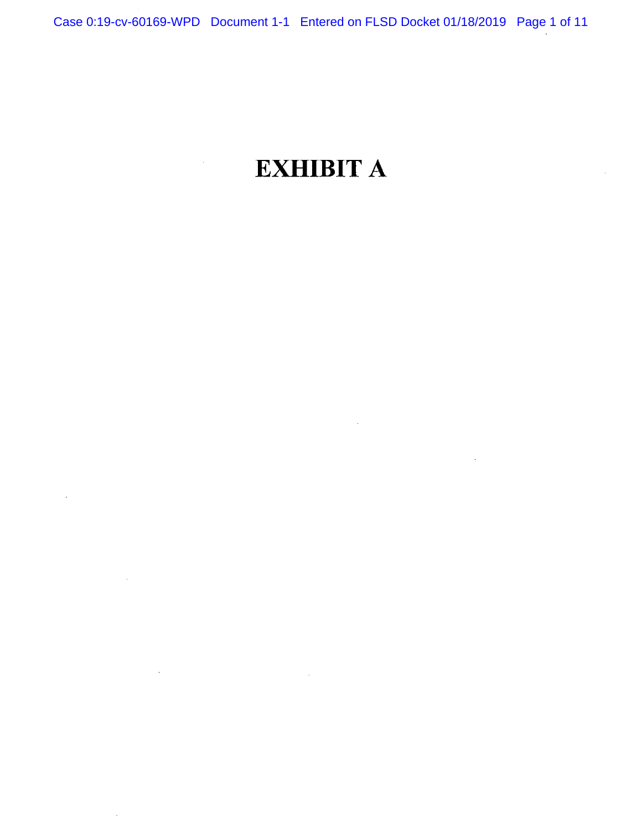# **EXHIBIT A**

 $\sim$   $\sim$ 

 $\bar{\gamma}$ 

 $\alpha$ 

 $\mathcal{L}^{\pm}$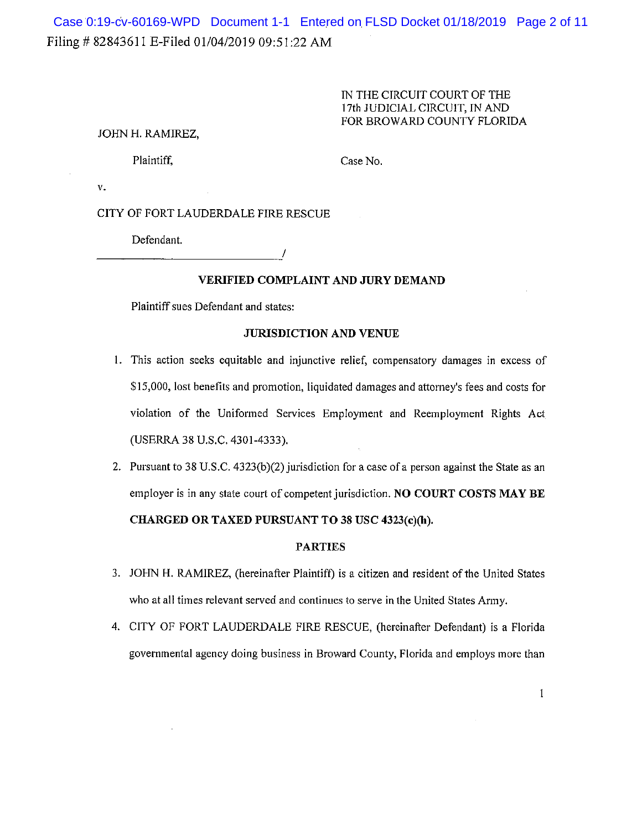# Filing # 82843611 E-Filed 01/04/2019 09:51:22 AM Case 0:19-cv-60169-WPD Document 1-1 Entered on FLSD Docket 01/18/2019 Page 2 of 11

#### IN THE CIRCUIT COURT OF THE 17th JUDICIAL CIRCUIT, IN AND FOR BROWARD COUNTY FLORIDA

#### JOHN H. RAMIREZ,

Plaintiff, Case No.

v.

#### CITY OF FORT LAUDERDALE FIRE RESCUE

Defendant.

/

### **VERIFIED COMPLAINT AND JURY DEMAND**

Plaintiff sues Defendant and states:

#### **JURISDICTION AND VENUE**

- **1.** This action seeks equitable and injunctive relief, compensatory damages in excess of \$15,000, lost benefits and promotion, liquidated damages and attorney's fees and costs for violation of the Uniformed Services Employment and Reemployment Rights Act (USERRA 38 U.S.C. 4301-4333).
- 2. Pursuant to 38 U.S.C. 4323(b)(2) jurisdiction for a case of a person against the State as an employer is in any state court of competent jurisdiction. **NO COURT COSTS MAY BE CHARGED OR TAXED PURSUANT TO 38 USC 4323(c)(h).**

#### **PARTIES**

- 3. JOHN H. RAMIREZ, (hereinafter Plaintiff) is a citizen and resident of the United States who at all times relevant served and continues to serve in the United States Army.
- 4. CITY OF FORT LAUDERDALE FIRE RESCUE, (hereinafter Defendant) is a Florida governmental agency doing business in Broward County, Florida and employs more than

1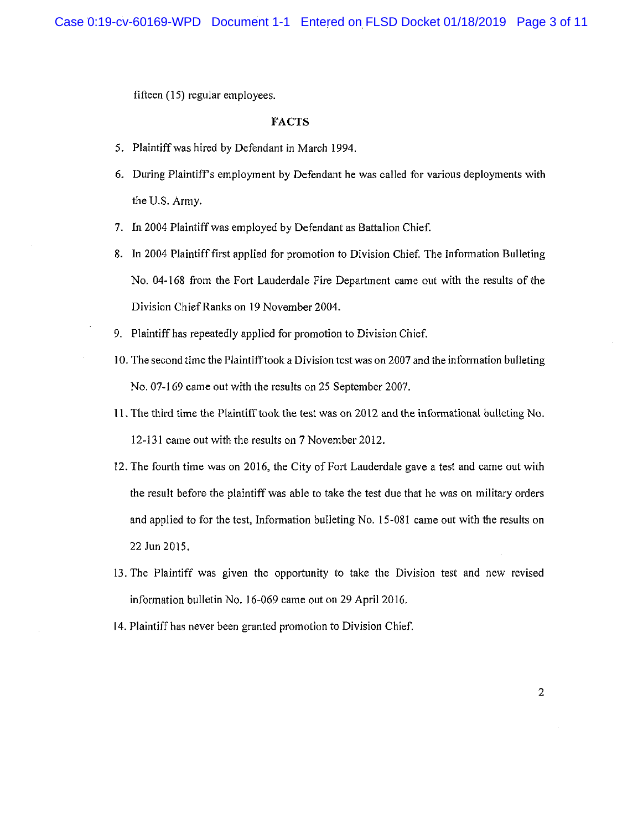fifteen (15) regular employees.

#### FACTS

- 5. Plaintiff was hired by Defendant in March 1994.
- 6. During Plaintiffs employment by Defendant he was called for various deployments with the U.S. Army.
- 7. In 2004 Plaintiff was employed by Defendant as Battalion Chief.
- 8. In 2004 Plaintiff first applied for promotion to Division Chief. The Information Bulleting No. 04-168 from the Fort Lauderdale Fire Department came out with the results of the Division Chief Ranks on 19 November 2004.
- 9. Plaintiff has repeatedly applied for promotion to Division Chief.
- 10. The second time the Plaintiff took a Division test was on 2007 and the information bulleting No. 07-169 came out with the results on 25 September 2007.
- 11. The third time the Plaintiff took the test was on 2012 and the informational bulleting No. 12-131 came out with the results on 7 November 2012.
- 12. The fourth time was on 2016, the City of Fort Lauderdale gave a test and came out with the result before the plaintiff was able to take the test due that he was on military orders and applied to for the test, Information bulleting No. 15-081 came out with the results on 22 Jun 2015.
- 13. The Plaintiff was given the opportunity to take the Division test and new revised information bulletin No. 16-069 came out on 29 April 2016.
- 14. Plaintiff has never been granted promotion to Division Chief.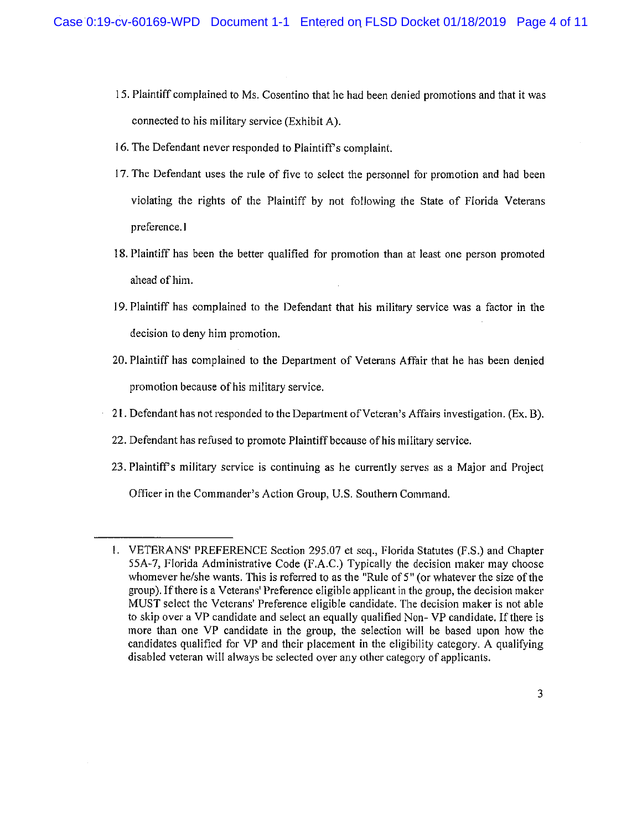- 15. Plaintiff complained to Ms. Cosentino that he had been denied promotions and that it was connected to his military service (Exhibit A).
- 16. The Defendant never responded to Plaintiff's complaint.
- 17. The Defendant uses the rule of five to select the personnel for promotion and had been violating the rights of the Plaintiff by not following the State of Florida Veterans preference. 1
- 18. Plaintiff has been the better qualified for promotion than at least one person promoted ahead of him.
- 19. Plaintiff has complained to the Defendant that his military service was a factor in the decision to deny him promotion.
- 20. Plaintiff has complained to the Department of Veterans Affair that he has been denied promotion because of his military service.
- 21. Defendant has not responded to the Department of Veteran's Affairs investigation. (Ex. B).
- 22. Defendant has refused to promote Plaintiff because of his military service.
- 23. Plaintiffs military service is continuing as he currently serves as a Major and Project
	- Officer in the Commander's Action Group, U.S. Southern Command.

<sup>1.</sup> VETERANS' PREFERENCE Section 295.07 et seq., Florida Statutes (F.S.) and Chapter 55A-7, Florida Administrative Code (F.A.C.) Typically the decision maker may choose whomever he/she wants. This is referred to as the "Rule of 5" (or whatever the size of the group). If there is a Veterans' Preference eligible applicant in the group, the decision maker MUST select the Veterans' Preference eligible candidate. The decision maker is not able to skip over a VP candidate and select an equally qualified Non- VP candidate. If there is more than one VP candidate in the group, the selection will be based upon how the candidates qualified for VP and their placement in the eligibility category. A qualifying disabled veteran will always be selected over any other category of applicants.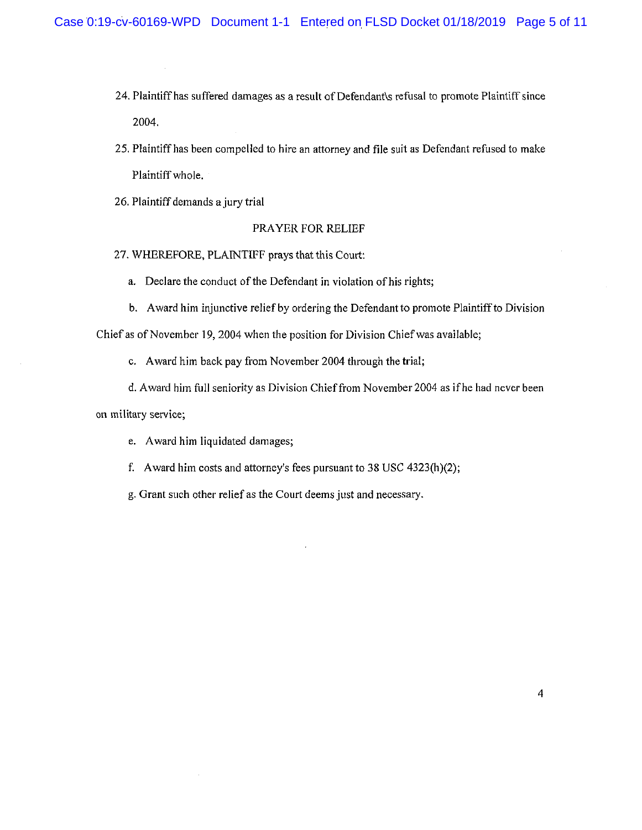- 24. Plaintiff has suffered damages as a result of Defendants refusal to promote Plaintiff since 2004.
- 25. Plaintiff has been compelled to hire an attorney and file suit as Defendant refused to make Plaintiff whole.
- 26. Plaintiff demands a jury trial

#### PRAYER FOR RELIEF

- 27. WHEREFORE, PLAINTIFF prays that this Court:
	- a. Declare the conduct of the Defendant in violation of his rights;
	- b. Award him injunctive relief by ordering the Defendant to promote Plaintiff to Division

Chief as of November 19, 2004 when the position for Division Chief was available;

- c. Award him back pay from November 2004 through the trial;
- d. Award him full seniority as Division Chief from November 2004 as if he had never been

on military service;

- e. Award him liquidated damages;
- f. Award him costs and attorney's fees pursuant to 38 USC 4323(h)(2);
- g. Grant such other relief as the Court deems just and necessary.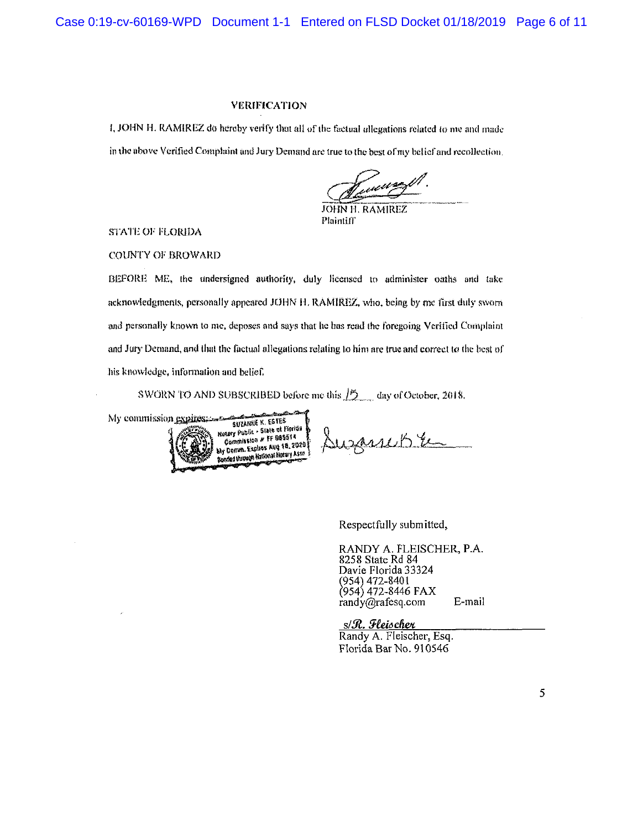Case 0:19-cv-60169-WPD Document 1-1 Entered on FLSD Docket 01/18/2019 Page 6 of 11

#### VERIFICATION

I, JOHN H. RAMIREZ do hereby verily thai all of the factual allegations related lo me and made Figure 1-1 Entered on FLSD Docket 01/18/2019<br>
VERIFICATION<br>
I, JOHN H. RAMIREZ do hereby verify that all of the factual allegations related to me and made<br>
in the above Verified Complaint and Jury Demand are true to the be

JOHN H. RAMIREZ **Plaintiff** 

STATE OF FLORIDA

COUNTY OF BROWARD

BEFORE ME, the undersigned authority, duly licensed to administer oaths and take acknowledgments, personally appeared JOHN M. RAMIREZ, who, being by mc first duly sworn and personally known to mc, deposes and says that he has read the foregoing Verified Complaint and Jury Demand, and that the factual allegations relating to him are true and correct to the best of bis knowledge, information and belief,

SWORN TO AND SUBSCRIBED before me this  $\frac{15}{2}$  day of October, 2018.



Suzanche

Respectfully submitted,

RANDY A. FLEISCHER, P.A. 8258 State Rd 84 Davie Florida 33324 (954) 472-8401 (954) 472-8446 FAX [randy@rafesq.com](mailto:randy@rafesq.com) E-mail

s/R. Fleischer Randy A. Fleischer, Esq. Florida Bar No. 910546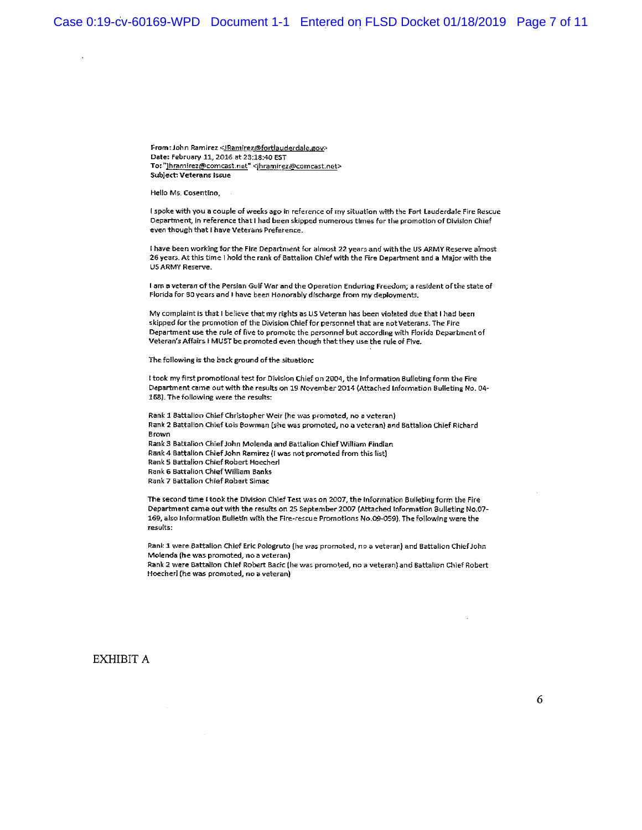Case 0:19-cv-60169-WPD Document 1-1 Entered on FLSD Docket 01/18/2019 Page 7 of 11

From: John Ramirez <**Bamirez@fortlauderdale.gov>** Date: February 11, 2016 at 23:18:40 EST To: "jhramirez@comcast.net" <jhramirez@comcast.net> Subject: Veterans Issue

Hello Ms. Cosentino,

 $\mathbf{r}$ 

I spoke with you a couple of weeks ago in reference of my situation with the Fort Lauderdale Fire Rescue Department, in reference that i had been skipped numerous times for the promotion of Division Chief even though that i have Veterans Preference.

i have been working for the Fire Department for almost 22 years and with the US ARMY Reserve almost 26 years. At this time I hold the rank of Battalion Chief with the Rre Department and a Major with the US ARMY Reserve.

I am a veteran of the Persian Gulf War and the Operation Enduring Freedom; a resident of the state of Florida for 30 years and I have been Honorably discharge from my deployments.

My complaint is that I believe that my rights as US Veteran has been violated due that I had been skipped for the promotion of the Division Chief for personnel that are not Veterans. The Fire Department use the rule of five to promote the personnel but according with Florida Department of Veteran's Affairs i MUST be promoted even though that they use the rule of Five.

The following is the back ground of the situation:

I took my first promotional test for Division Chief on 2004, the Information Bulleting form the Fire Department came out with the resutts on 19 November 2014 (Attached Information Bulleting No. 04 158). The following were the results:

Rank 1 Battalion Chief Christopher Weir (he was promoted, no a veteran) Rank 2 Battalion Chief Lois Bowman (she was promoted, no a veteran} and Battalion Chief Richard Brown Rank 3 Battalion Chief John Molenda and Battalion Chief William Findlan Rank 4 Battalion Chief John Ramirez (i was not promoted from this list) Rank 5 Battalion Chief Robert Hoecherl Rank 6 Battalion Chief William Banks

Rank 7 Battalion Chief Robert Simac

The second time I took the Division Chief Test was on 2007, the Information Bulleting form the Fire Department came out with the results on 25 September 2007 (Attached Information Bulleting No.07- 169, also Information Bulletin with the Fire-rescue Promotions No.09-059). The following were the results:

Rank 1 were Battalion Chief Eric Pologruto (he was promoted, no a veteran) and Battalion Chief John Molenda (he was promoted, no a veteran)

Rank 2 were Battalion Chief Robert Bacic (he was promoted, no a veteran) and Battalion Chief Robert Hoecherl (he was promoted, no a veteran)

#### EXHIBIT A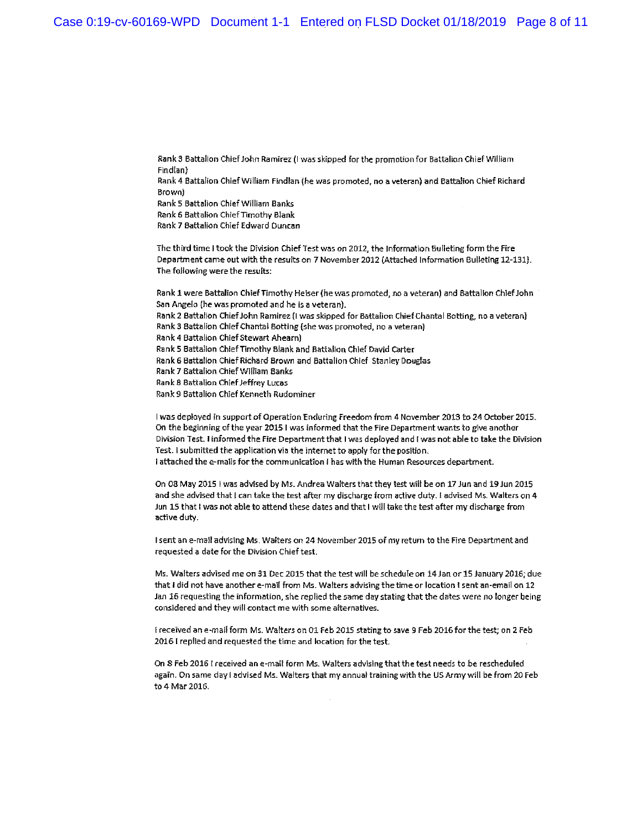Ranks Battalion Chief John Ramirez (I was skipped for the promotion for Battalion Chief William Findlan)

Rank 4 Battalion Chief William Findlan (he was promoted, no a veteran) and Battalion Chief Richard Brown)

Ranks Battalion Chief William Banks

Rank 6 Battalion Chief Timothy Blank

Rank 7 Battalion Chief Edward Duncan

The third time I took the Division Chief Test was on 2012, the Information Bulleting form the Fire Department came out with the results on 7 November 2012 {Attached Information Bulleting 12-131}. The following were the results:

Rank 1 were Battalion Chief Timothy Heiser (he was promoted, no a veteran) and Battalion Chief John San Angelo {he was promoted and he is a veteran}. Rank 2 Battalion Chief John Ramirez (I was skipped for Battalion Chief Chantal Botting, no a veteran} Rank 3 Battalion Chief Chantal Botting (she was promoted, no a veteran) Rank 4 Battalion Chief Stewart Ahearn) Ranks Battalion Chief Timothy Blank and Battalion Chief David Carter Rank 6 Battalion Chief Richard Brown and Battalion Chief Stanley Douglas Rank 7 Battalion Chief William Banks Rank 8 Battalion Chief Jeffrey Lucas Rank 9 Battalion Chief Kenneth Rudominer

I was deployed in support of Operation Enduring Freedom from 4 November 2013 to 24 October 2015. On the beginning of the year 20151 was Informed that the Fire Department wants to give another Division Test. I informed the Fire Department that I was deployed and I was not able to take the Division Test. I submitted the application via the internet to apply for the position. I attached the e-mails for the communication 1 has with the Human Resources department.

On 08 May 2015 I was advised by Ms. Andrea Walters that they test will be on 17 Jun and 19 Jun 2015 and she advised that I can take the test after my discharge from active duty. I advised Ms. Walters on 4 Jun 15 that I was not able to attend these dates and that I will take the test after my discharge from active duty.

I sent an e-mail advising Ms. Walters on 24 November 2015 of my return to the Fire Department and requested a date for the Division Chief test.

Ms. Walters advised me on 31 Dec 2015 that the test will be schedule on 14 Jan or 15 January 2016; due that I did not have another e-mail from Ms. Walters advising the time or location I sent an-email on 12 Jan 16 requesting the information, she replied the same day stating that the dates were no longer being considered and they will contact me with some alternatives.

I received an e-mail form Ms. Walters on 01 Feb 2015 stating to save 9 Feb 2016 for the test; on 2 Feb 2016 I replied and requested the time and location for the test.

On S Feb 2016 I received an e-mail form Ms. Walters advising that the test needs to be rescheduled again. On same day I advised Ms. Walters that my annual training with the US Army will be from 20 Feb to 4 Mar 2016.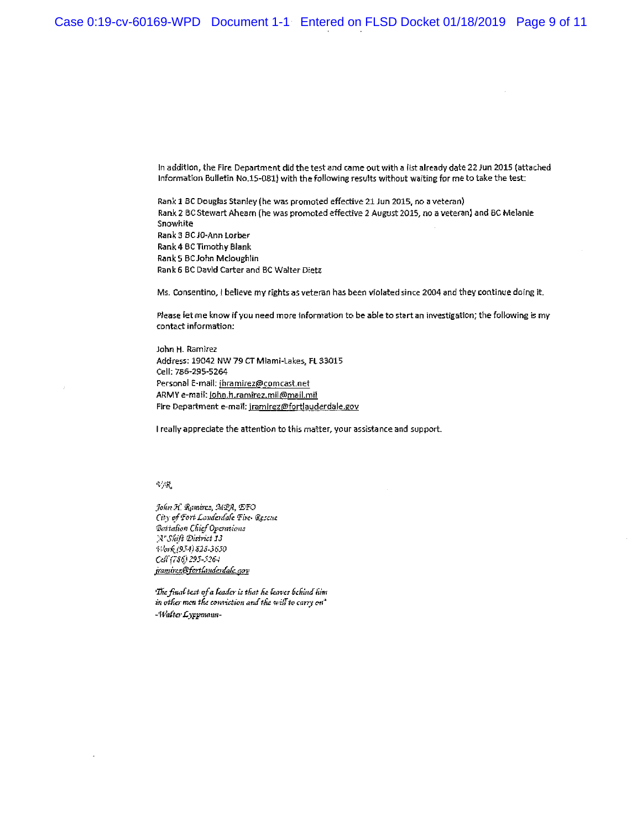In addition, the Fire Department did the test and came out with a list already date 22 Juri 2015 (attached Information Bulletin No.15-081) with the following results without waiting for me to take the test:

Rank 1 BC Douglas Stanley (he was promoted effective 21 Jun 2015, no a veteran) Rank 2 BC Stewart Ahearn {he was promoted effective 2 August 2015, no a veteran) and 8C Melanie Snowhite Rank 3 BC JO-Ann Lorber Rank 4 BC Timothy Blank Rank5 BCJohn Mcloughlin Rank 6 BC David Carter and BC Walter Dietz

Ms. Consentino, I believe my fights as veteran has been violated since 2004 and they continue doing it.

Please let me know If you need more information to be able to start an investigation; the following is my contact information:

John H. Ramirez Address: 19042 NW 79 CTMiami-Lakes, FL33015 Cell: 786-295-5264 Personal E-mail: jhramirez@comcast.net ARMY e-mail: john.h.ramirez.mil@mail.mil Fire Department e-maii: [iramirez@fortlauderdale.gov](mailto:iramirez@fortlauderdale.gov)

I really appreciate the attention to this matter, your assistance and support.

#### $\sim \gamma K$

*Jofm 3{. fy.mircs, SdiPfi, <&TQ Oty of fott Lauda-tl'afe -Fire- ftcscnc*  =&?*itafian Q'licf Opantioiis ]'A"Shift S3 S2S-36J0 Cd?{7\$0 2\*5-5264 kamire.z@fcrtCtV.uis}da&:. setv* 

*'IkcjiiuiCtest of a fender is tfast (in leaves Behind fsim*  in other men the conviction and the will to carry on<sup>4</sup> *-Wafca-Lyppnonn-*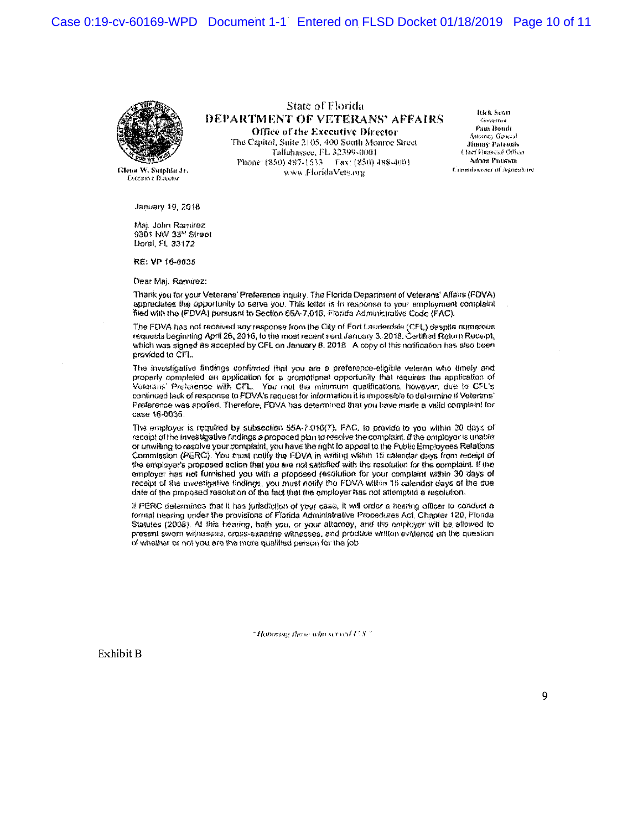Case 0:19-cv-60169-WPD Document 1-1 Entered on FLSD Docket 01/18/2019 Page 10 of 11



**Executive Director** 

Stare of Florida DEPARTMENT OF VETERANS' AFFAIRS Office of the Executive Director

The Capitol, Suite 2105, 400 South Monroe Street Tallahassee, FL 32399-0001 Phone: (850) 487-1533 Fax: (850) 488-4001 vvxvwi J v iurHlaVe?s.(«r!i C i >f i;;:> :11! rv fJU'UH W- SutptiJu Jr.

kkk Scon ťesveřno Pana Bondi Attorney General Jimmy Patronis<br>Clari Fiaanzui Office Adam Putnam<br>Commissioner of Agriculture

January 19. 2018

Maj. John Ramirez 9301 NW 33<sup>rd</sup> Street Doral, FL 33172

RE: VP 10-G03S

Dear Maj. Ramwez:

Thank you for your Veterans' Preference inquiry. The Florida Department of Veterans' Affairs (FDVA) appreciates the opportunity to serve you. This tetter is in response to your employment complaint filed with the (FDVA) pursuant to Section 55A-7.016. Florida Administrative Code (FAC),

The FDVA has not received any response from the City of Fort Lauderdale (CFL) despite numerous requests beginning April 26,2016, io the most recent seal January 3.2018. Certified Return Receipt, which was signed as accepted by CFL on January 8.  $2018$  A copy of this notification has also been provided to CFL

The investigative findings confirmed that you are a preference-eligible veteran who timely and properly completed an application for a promotional opportunity that requires the application of Veterans' Preference with CFL. You met the minimum qualifications, however, due to CFL's continued lack of response to FDVA's request for information it is impossible to determine if Veterans' Preference was applied. Therefore, FDVA has determined that you have made a valid complaint for case 18\*0035.

The employer is required by subsection *65A-Y* 016(7), FAC. to provide to you within 30 days of receipt of the Investigative findings a proposed plan to resolve five complaint, ff the employer is unable or uowifhng to resolve your complaint, you have ihe right lo appeal to the Public Employees Relations Commission (PERC).. Vou must notify the FDVA m writing within 15 calendar days from receipt of the employer's proposed action that you are not satisfied with the resolution for the complaint. If the employer has no! furnished you with *a* proposed resolution for your complaint within 30 days *of*  receipt of the investigative findings, you must notify the FDVA within 15 calendar days of the due date of ihe proposed resolution of the feci that the employer has not attempted a resolution.

If PERC determines that it has jurisdiction of your case, it will order a hearing officer to conduct a format hiring under the provisions of Florida Administrative Procedures Act, Chapter 120. Florida Statutes (2008). At this hearing, both you, or your attorney, and the employer will be allowed to present sworn witnesses, cross-examine witnesses, and produce written evidence on the question of whather or not you are the more qualified person for the job

"Howoring these who served  $US$ "

Exhibit B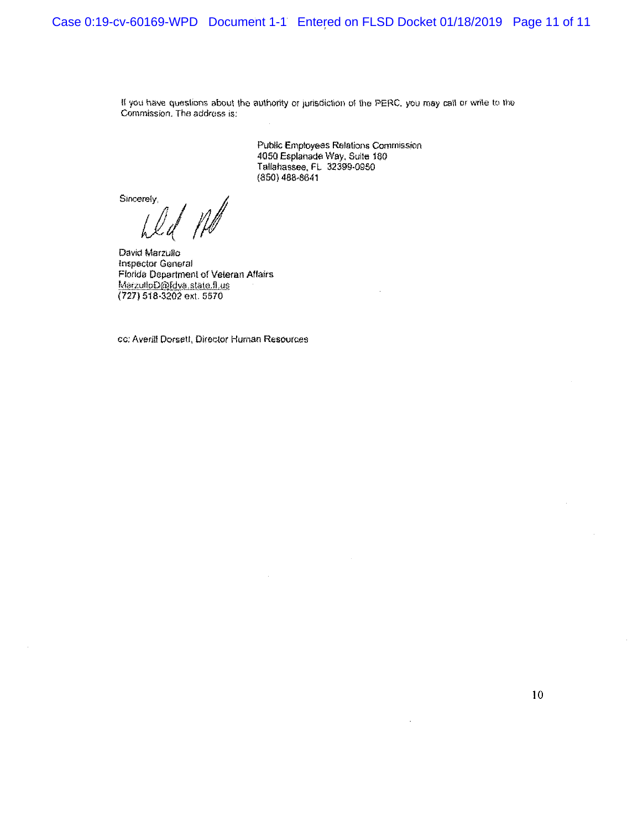If you have questions about the authority or jurisdiction of the PERC, you may call or write to the Commission. The address is:

> Public Employees Relations Commission 4050 Esplanade Way, Suite 180 Tallahassee, PL 32399-0950 (850)488\*8641

Sincerely,

David Marzulio inspector General Florida Department of Veteran Aflairs MarzutloD@fdva.state.fl.us (727) 518-3202 ext. 5570

cc: Averill Dorsett, Director Human Resources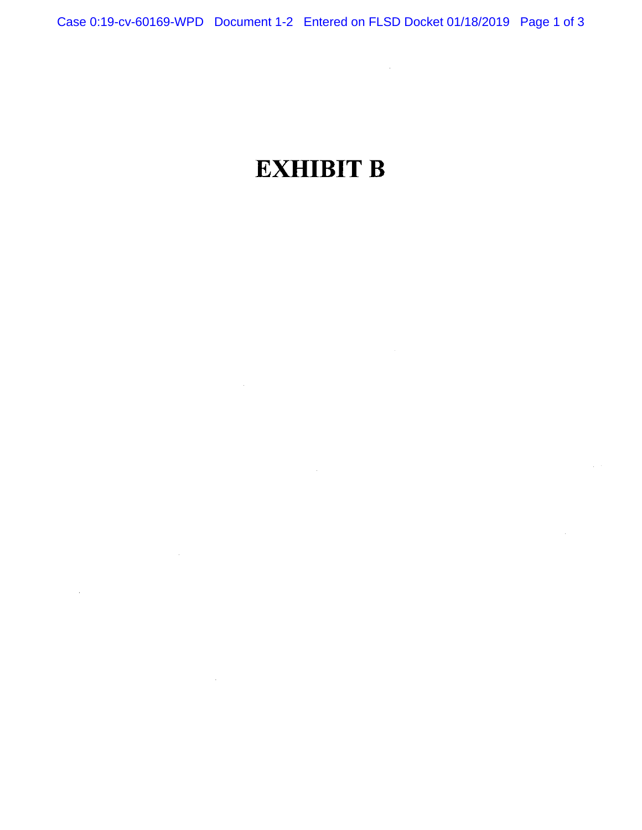$\mathcal{L}^{\text{max}}_{\text{max}}$  and  $\mathcal{L}^{\text{max}}_{\text{max}}$ 

 $\sim 10^{-12}$ 

 $\sim 10$ 

# **EXHIBIT B**

 $\mathcal{L}^{\mathcal{L}}(\mathcal{L}^{\mathcal{L}})$  and  $\mathcal{L}^{\mathcal{L}}(\mathcal{L}^{\mathcal{L}})$  . In the  $\mathcal{L}^{\mathcal{L}}(\mathcal{L}^{\mathcal{L}})$ 

 $\mathcal{L}^{\text{max}}_{\text{max}}$  and  $\mathcal{L}^{\text{max}}_{\text{max}}$ 

 $\mathcal{L}^{\text{max}}_{\text{max}}$  , where  $\mathcal{L}^{\text{max}}_{\text{max}}$ 

 $\bar{\mathcal{A}}$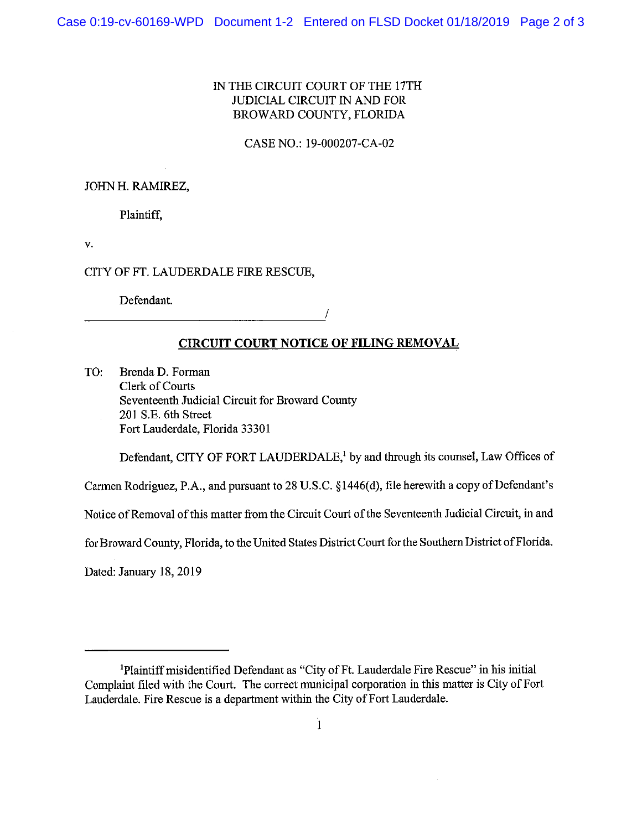## IN THE CIRCUIT COURT OF THE 17TH JUDICIAL CIRCUIT IN AND FOR BROWARD COUNTY, FLORIDA

CASE NO.: 19-000207-CA-02

#### JOHN H. RAMIREZ,

Plaintiff,

v.

#### CITY OF FT. LAUDERDALE FIRE RESCUE,

Defendant.

# **/**

# **CIRCUIT COURT NOTICE OF FILING REMOVAL**

TO: Brenda D. Forman Clerk of Courts Seventeenth Judicial Circuit for Broward County 201 S.E. 6th Street Fort Lauderdale, Florida 33301

Defendant, CITY OF FORT LAUDERDALE,<sup>1</sup> by and through its counsel, Law Offices of

Carmen Rodriguez, P.A., and pursuant to 28 U.S.C. §1446(d), file herewith a copy of Defendant's

Notice of Removal of this matter from the Circuit Court of the Seventeenth Judicial Circuit, in and

for Broward County, Florida, to the United States District Court for the Southern District of Florida.

Dated: January 18, 2019

<sup>&#</sup>x27;Plaintiff misidentified Defendant as "City of Ft. Lauderdale Fire Rescue" in his initial Complaint filed with the Court. The correct municipal corporation in this matter is City of Fort Lauderdale. Fire Rescue is a department within the City of Fort Lauderdale.